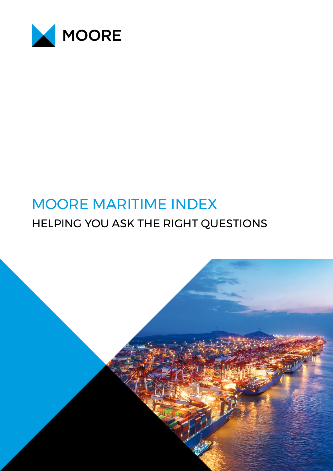

# MOORE MARITIME INDEX HELPING YOU ASK THE RIGHT QUESTIONS

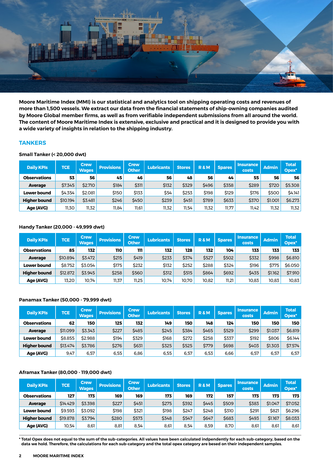

**Moore Maritime Index (MMI) is our statistical and analytics tool on shipping operating costs and revenues of more than 1,500 vessels. We extract our data from the financial statements of ship-owning companies audited by Moore Global member firms, as well as from verifiable independent submissions from all around the world. The content of Moore Maritime Index is extensive, exclusive and practical and it is designed to provide you with a wide variety of insights in relation to the shipping industry.**

#### **TANKERS**

#### **Small Tanker (< 20,000 dwt)**

| <b>Daily KPIs</b>   | TCE      | <b>Crew</b><br>Wages | <b>Provisions</b> | <b>Crew</b><br>Other | <b>Lubricants</b> | <b>Stores</b> | <b>R&amp;M</b> | <b>Spares</b> | <b>Insurance</b><br>costs | <b>Admin</b> | <b>Total</b><br>Opex* |
|---------------------|----------|----------------------|-------------------|----------------------|-------------------|---------------|----------------|---------------|---------------------------|--------------|-----------------------|
| <b>Observations</b> | 53       | 56                   | 45                | 46                   | 56                | 48            | 56             | 44            | 55                        | 56           | 56                    |
| <b>Average</b>      | \$7.345  | \$2.710              | \$184             | \$311                | \$132             | \$329         | \$496          | \$358         | \$289                     | \$720        | \$5.308               |
| <b>Lower bound</b>  | \$4.354  | \$2.081              | \$150             | \$133                | \$54              | \$253         | \$198          | \$129         | \$176                     | \$500        | <b>\$4.141</b>        |
| <b>Higher bound</b> | \$10.194 | \$3.481              | \$246             | \$450                | \$239             | \$451         | \$789          | \$633         | \$370                     | \$1.001      | \$6.273               |
| Age (AVG)           | 11,30    | 11,32                | 11,84             | 11,61                | 11,32             | 11,54         | 11,32          | 11,77         | 11,42                     | 11,32        | 11,32                 |

#### **Handy Tanker (20,000 - 49,999 dwt)**

| <b>Daily KPIs</b>   | <b>TCE</b> | <b>Crew</b><br>Wages | <b>Provisions</b> | <b>Crew</b><br><b>Other</b> | <b>Lubricants</b> | <b>Stores</b> | <b>R&amp;M</b> | <b>Spares</b> | <b>Insurance</b><br>costs | <b>Admin</b> | <b>Total</b><br>Opex* |
|---------------------|------------|----------------------|-------------------|-----------------------------|-------------------|---------------|----------------|---------------|---------------------------|--------------|-----------------------|
| <b>Observations</b> | 85         | 132                  | 110               | 111                         | 132               | 128           | 132            | 104           | 133                       | 133          | 133                   |
| <b>Average</b>      | \$10.894   | \$3.472              | \$215             | \$419                       | \$233             | \$374         | \$527          | \$502         | \$332                     | \$998        | \$6.810               |
| <b>Lower bound</b>  | \$8.752    | \$3.054              | \$175             | \$232                       | \$132             | \$252         | \$288          | \$324         | \$196                     | \$775        | \$6,050               |
| <b>Higher bound</b> | \$12.872   | \$3.945              | \$258             | \$560                       | \$312             | \$515         | \$864          | \$692         | \$435                     | \$1.162      | \$7.910               |
| Age (AVG)           | 13,20      | 10.74                | 11,37             | 11.25                       | 10,74             | 10.70         | 10.82          | 11,21         | 10,83                     | 10,83        | 10,83                 |

#### **Panamax Tanker (50,000 - 79,999 dwt)**

| <b>Daily KPIs</b>   | <b>TCE</b> | <b>Crew</b><br><b>Wages</b> | <b>Provisions</b> | <b>Crew</b><br><b>Other</b> | <b>Lubricants</b> | <b>Stores</b> | <b>R&amp;M</b> | <b>Spares</b> | <b>Insurance</b><br>costs | <b>Admin</b> | <b>Total</b><br>Opex* |
|---------------------|------------|-----------------------------|-------------------|-----------------------------|-------------------|---------------|----------------|---------------|---------------------------|--------------|-----------------------|
| <b>Observations</b> | 62         | 150                         | 125               | 132                         | 149               | 150           | 148            | 124           | 150                       | 150          | 150                   |
| <b>Average</b>      | \$11.099   | \$3.343                     | \$227             | \$485                       | \$245             | \$384         | \$465          | \$529         | \$299                     | \$1.037      | \$6.819               |
| Lower bound         | \$8.855    | \$2.988                     | \$194             | \$329                       | \$168             | \$272         | \$258          | \$337         | \$192                     | \$806        | \$6.144               |
| <b>Higher bound</b> | \$13.474   | \$3.786                     | \$276             | \$631                       | \$325             | \$525         | \$779          | \$698         | \$403                     | \$1.303      | \$7.574               |
| Age (AVG)           | 9.47       | 6,57                        | 6.55              | 6,86                        | 6,55              | 6,57          | 6.53           | 6.66          | 6,57                      | 6,57         | 6,57                  |

#### **Aframax Tanker (80,000 - 119,000 dwt)**

| <b>Daily KPIs</b>   | <b>TCE</b> | <b>Crew</b><br><b>Wages</b> | <b>Provisions</b> | <b>Crew</b><br><b>Other</b> | <b>Lubricants</b> | <b>Stores</b> | <b>R&amp;M</b> | <b>Spares</b> | <b>Insurance</b><br>costs | <b>Admin</b> | Total<br>Opex* |
|---------------------|------------|-----------------------------|-------------------|-----------------------------|-------------------|---------------|----------------|---------------|---------------------------|--------------|----------------|
| <b>Observations</b> | 127        | 173                         | 169               | 169                         | 173               | 169           | 172            | 157           | 173                       | 173          | 173            |
| <b>Average</b>      | \$14.429   | \$3.398                     | \$227             | \$451                       | \$275             | \$392         | \$445          | \$509         | \$383                     | \$1.047      | \$7.052        |
| <b>Lower bound</b>  | \$9.593    | \$3.092                     | \$198             | \$321                       | \$198             | \$247         | \$248          | \$310         | \$291                     | \$821        | \$6.296        |
| <b>Higher bound</b> | \$19.878   | \$3.794                     | \$280             | \$573                       | \$348             | \$547         | \$647          | \$683         | \$493                     | \$1.167      | \$8.033        |
| Age (AVG)           | 10,54      | 8,61                        | 8,81              | 8,54                        | 8,61              | 8,54          | 8,59           | 8,70          | 8,61                      | 8,61         | 8,61           |

**\* Total Opex does not equal to the sum of the sub-categories. All values have been calculated indpendently for each sub-category, based on the data we hold. Therefore, the calculations for each sub-category and the total opex category are besed on their independent samples.**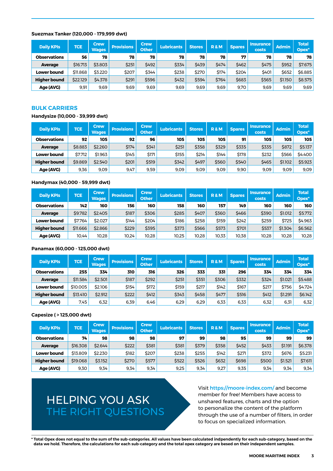#### **Suezmax Tanker (120,000 - 179,999 dwt)**

| <b>Daily KPIs</b>   | <b>TCE</b> | <b>Crew</b><br><b>Wages</b> | <b>Provisions</b> | <b>Crew</b><br><b>Other</b> | <b>Lubricants</b> | <b>Stores</b> | <b>R&amp;M</b> | <b>Spares</b> | <b>Insurance</b><br>costs | <b>Admin</b> | <b>Total</b><br>Opex <sup>*</sup> |
|---------------------|------------|-----------------------------|-------------------|-----------------------------|-------------------|---------------|----------------|---------------|---------------------------|--------------|-----------------------------------|
| <b>Observations</b> | 56         | 78                          | 78                | 78                          | 78                | 78            | 78             | 77            | 78                        | 78           | 78                                |
| <b>Average</b>      | \$16.713   | \$3.803                     | \$251             | \$492                       | \$334             | \$439         | \$474          | \$462         | \$475                     | \$952        | \$7.675                           |
| <b>Lower bound</b>  | \$11.868   | \$3.220                     | \$207             | \$344                       | \$238             | \$270         | \$174          | \$204         | \$401                     | \$652        | \$6.885                           |
| <b>Higher bound</b> | \$22.129   | \$4.378                     | \$291             | \$596                       | \$432             | \$594         | \$764          | \$683         | \$565                     | \$1.150      | \$8.575                           |
| Age (AVG)           | 9.91       | 9.69                        | 9.69              | 9.69                        | 9.69              | 9.69          | 9.69           | 9.70          | 9.69                      | 9.69         | 9,69                              |

#### **BULK CARRIERS**

#### **Handysize (10,000 - 39,999 dwt)**

| <b>Daily KPIs</b>   | <b>TCE</b> | <b>Crew</b><br><b>Wages</b> | <b>Provisions</b> | <b>Crew</b><br><b>Other</b> | <b>Lubricants</b> | <b>Stores</b> | <b>R&amp;M</b> | <b>Spares</b> | <b>Insurance</b><br>costs | <b>Admin</b> | <b>Total</b><br>$Oplex*$ |
|---------------------|------------|-----------------------------|-------------------|-----------------------------|-------------------|---------------|----------------|---------------|---------------------------|--------------|--------------------------|
| <b>Observations</b> | 92         | 105                         | 92                | 96                          | 105               | 105           | 105            | 91            | 105                       | 105          | 105                      |
| Average             | \$8.883    | \$2.260                     | \$174             | \$341                       | \$251             | \$358         | \$329          | \$335         | \$335                     | \$872        | \$5.137                  |
| <b>Lower bound</b>  | \$7.712    | \$1.963                     | \$145             | \$171                       | \$155             | \$214         | \$144          | \$178         | \$232                     | \$566        | \$4,400                  |
| <b>Higher bound</b> | \$9.869    | \$2.540                     | \$201             | \$519                       | \$342             | \$497         | \$560          | \$540         | \$465                     | \$1.102      | \$5.923                  |
| Age (AVG)           | 9,36       | 9,09                        | 9,47              | 9,59                        | 9,09              | 9.09          | 9,09           | 9,90          | 9,09                      | 9,09         | 9,09                     |

#### **Handymax (40,000 - 59,999 dwt)**

| <b>Daily KPIs</b>   | <b>TCE</b> | Crew /<br><b>Wages</b> | <b>Provisions</b> | <b>Crew</b><br><b>Other</b> | <b>Lubricants</b> | <b>Stores</b> | <b>R&amp;M</b> | <b>Spares</b> | <b>Insurance</b><br>costs | <b>Admin</b> | <b>Total</b><br>Opex <sup>*</sup> |
|---------------------|------------|------------------------|-------------------|-----------------------------|-------------------|---------------|----------------|---------------|---------------------------|--------------|-----------------------------------|
| <b>Observations</b> | 142        | 160                    | 156               | 160                         | 158               | 160           | 157            | 149           | 160                       | 160          | 160                               |
| <b>Average</b>      | \$9.782    | \$2.405                | \$187             | \$306                       | \$285             | \$407         | \$360          | \$466         | \$390                     | \$1.012      | \$5.772                           |
| <b>Lower bound</b>  | \$7.764    | \$2.027                | \$144             | \$204                       | \$186             | \$258         | \$159          | \$242         | \$259                     | \$725        | \$4.963                           |
| <b>Higher bound</b> | \$11.666   | \$2.866                | \$229             | \$395                       | \$373             | \$566         | \$573          | \$701         | \$537                     | \$1.304      | \$6.562                           |
| Age (AVG)           | 10.44      | 10.28                  | 10.24             | 10,28                       | 10,25             | 10.28         | 10.33          | 10,38         | 10.28                     | 10,28        | 10,28                             |

#### **Panamax (60,000 - 125,000 dwt)**

| <b>Daily KPIs</b>   | <b>TCE</b> | <b>Crew</b><br><b>Wages</b> | <b>Provisions</b> | <b>Crew</b><br><b>Other</b> | <b>Lubricants</b> | <b>Stores</b> | <b>R&amp;M</b> | <b>Spares</b> | <b>Insurance</b><br>costs | <b>Admin</b> | <b>Total</b><br>Opex <sup>*</sup> |
|---------------------|------------|-----------------------------|-------------------|-----------------------------|-------------------|---------------|----------------|---------------|---------------------------|--------------|-----------------------------------|
| <b>Observations</b> | 255        | 334                         | 310               | 316                         | 326               | 333           | 331            | 296           | 334                       | 334          | 334                               |
| <b>Average</b>      | \$11.584   | \$2.501                     | \$187             | \$292                       | \$251             | \$351         | \$306          | \$332         | \$324                     | \$1.021      | \$5.488                           |
| <b>Lower bound</b>  | \$10,005   | \$2.106                     | \$154             | \$172                       | \$159             | \$217         | \$142          | \$167         | \$217                     | \$756        | \$4.724                           |
| <b>Higher bound</b> | \$13.410   | \$2.912                     | \$222             | \$412                       | \$343             | \$458         | <b>\$477</b>   | \$516         | \$412                     | \$1.291      | \$6.142                           |
| Age (AVG)           | 7,45       | 6,32                        | 6,39              | 6.46                        | 6,29              | 6.29          | 6.33           | 6,33          | 6,32                      | 6,31         | 6,32                              |

#### **Capesize ( > 125,000 dwt)**

| <b>Daily KPIs</b>   | <b>TCE</b> | Crew /<br><b>Wages</b> | <b>Provisions</b> | <b>Crew</b><br><b>Other</b> | <b>Lubricants</b> | <b>Stores</b> | <b>R&amp;M</b> | <b>Spares</b> | <b>Insurance</b><br>costs | <b>Admin</b> | <b>Total</b><br>Opex <sup>*</sup> |
|---------------------|------------|------------------------|-------------------|-----------------------------|-------------------|---------------|----------------|---------------|---------------------------|--------------|-----------------------------------|
| <b>Observations</b> | 74         | 98                     | 98                | 98                          | 97                | 99            | 98             | 95            | 99                        | 99           | 99                                |
| <b>Average</b>      | \$16,308   | \$2.644                | \$222             | \$381                       | \$381             | \$379         | \$358          | \$452         | \$433                     | \$1.191      | \$6.378                           |
| <b>Lower bound</b>  | \$13.809   | \$2.230                | \$182             | \$207                       | \$238             | \$255         | \$142          | \$271         | \$372                     | \$676        | \$5.231                           |
| <b>Higher bound</b> | \$19.068   | \$3.152                | \$270             | \$577                       | \$522             | \$526         | \$632          | \$698         | \$500                     | \$1.521      | \$7.611                           |
| Age (AVG)           | 9,30       | 9.34                   | 9.34              | 9.34                        | 9,25              | 9.34          | 9,27           | 9.35          | 9,34                      | 9.34         | 9.34                              |

## HELPING YOU ASK THE RIGHT QUESTIONS

Visit <https://moore-index.com/> and become member for free! Members have access to unshared features, charts and the option to personalize the content of the platform through the use of a number of filters, in order to focus on specialized information.

**\* Total Opex does not equal to the sum of the sub-categories. All values have been calculated indpendently for each sub-category, based on the data we hold. Therefore, the calculations for each sub-category and the total opex category are besed on their independent samples.**